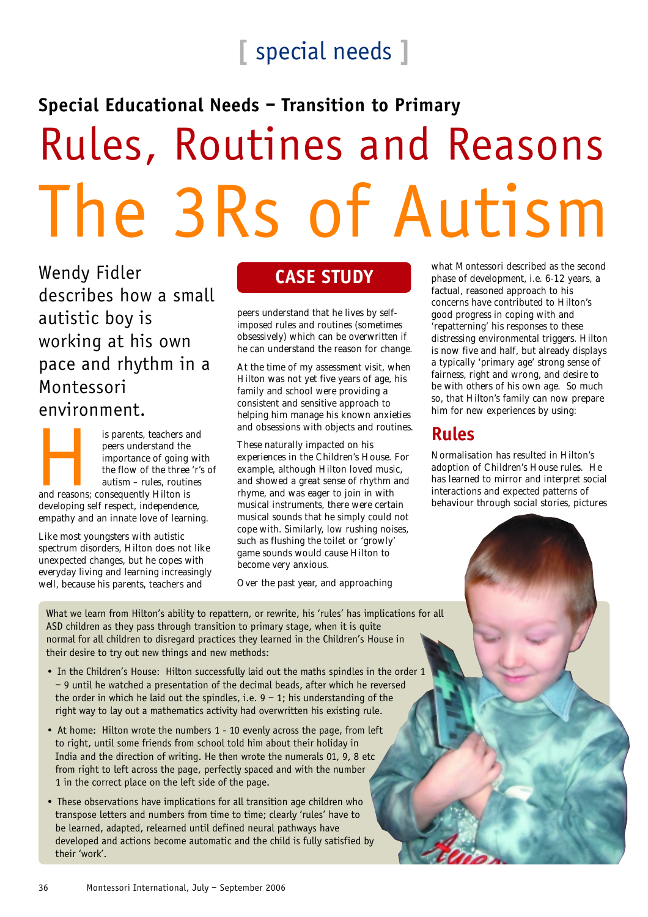# **[** special needs **]**

### **Special Educational Needs – Transition to Primary**

# Rules, Routines and Reasons The 3Rs of Autism

Wendy Fidler describes how a small autistic boy is working at his own pace and rhythm in a Montessori environment.

Is parents, teachers and<br>
peers understand the<br>
importance of going wi<br>
the flow of the three 'r':<br>
autism – rules, routines<br>
and reasons; consequently Hilton is peers understand the importance of going with the flow of the three 'r's of autism – rules, routines developing self respect, independence, empathy and an innate love of learning.

Like most youngsters with autistic spectrum disorders, Hilton does not like unexpected changes, but he copes with everyday living and learning increasingly well, because his parents, teachers and

peers understand that he lives by selfimposed rules and routines (sometimes obsessively) which can be overwritten if he can understand the reason for change.

At the time of my assessment visit, when Hilton was not yet five years of age, his family and school were providing a consistent and sensitive approach to helping him manage his known anxieties and obsessions with objects and routines.

These naturally impacted on his experiences in the Children's House. For example, although Hilton loved music, and showed a great sense of rhythm and rhyme, and was eager to join in with musical instruments, there were certain musical sounds that he simply could not cope with. Similarly, low rushing noises, such as flushing the toilet or 'growly' game sounds would cause Hilton to become very anxious.

Over the past year, and approaching

**CASE STUDY** what Montessori described as the second phase of development, i.e. 6-12 years, a factual, reasoned approach to his concerns have contributed to Hilton's good progress in coping with and 'repatterning' his responses to these distressing environmental triggers. Hilton is now five and half, but already displays a typically 'primary age' strong sense of fairness, right and wrong, and desire to be with others of his own age. So much so, that Hilton's family can now prepare him for new experiences by using:

#### **Rules**

Normalisation has resulted in Hilton's adoption of Children's House rules. He has learned to mirror and interpret social interactions and expected patterns of behaviour through social stories, pictures

What we learn from Hilton's ability to repattern, or rewrite, his 'rules' has implications for all ASD children as they pass through transition to primary stage, when it is quite normal for all children to disregard practices they learned in the Children's House in their desire to try out new things and new methods:

- In the Children's House: Hilton successfully laid out the maths spindles in the order 1 – 9 until he watched a presentation of the decimal beads, after which he reversed the order in which he laid out the spindles, i.e.  $9 - 1$ ; his understanding of the right way to lay out a mathematics activity had overwritten his existing rule.
- At home: Hilton wrote the numbers 1 10 evenly across the page, from left to right, until some friends from school told him about their holiday in India and the direction of writing. He then wrote the numerals 01, 9, 8 etc from right to left across the page, perfectly spaced and with the number 1 in the correct place on the left side of the page.
- These observations have implications for all transition age children who transpose letters and numbers from time to time; clearly 'rules' have to be learned, adapted, relearned until defined neural pathways have developed and actions become automatic and the child is fully satisfied by their 'work'.